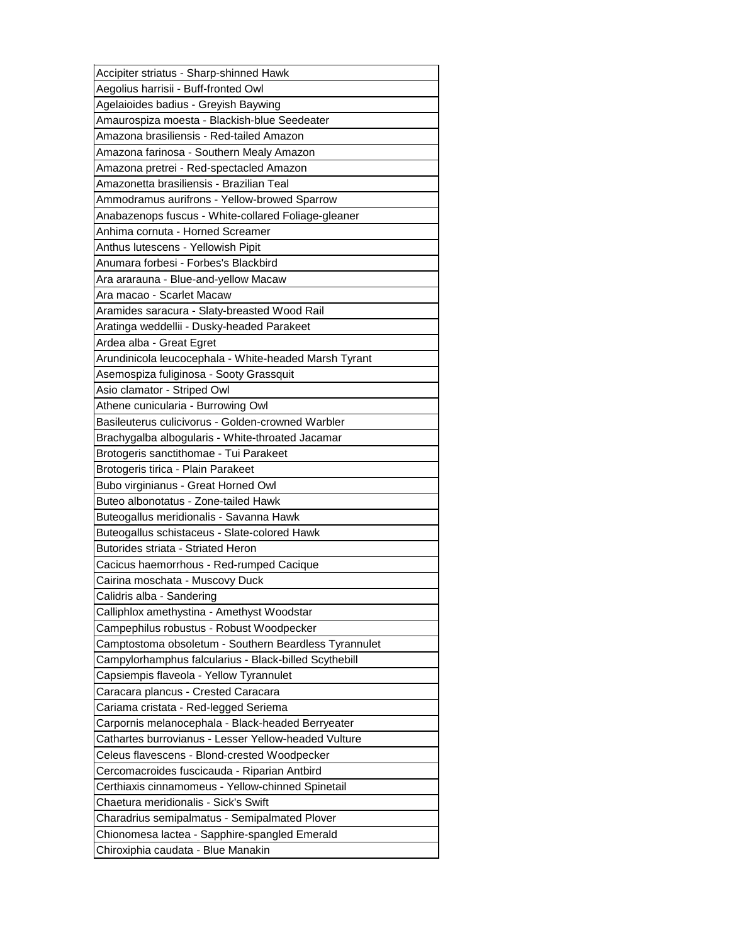| Accipiter striatus - Sharp-shinned Hawk               |
|-------------------------------------------------------|
| Aegolius harrisii - Buff-fronted Owl                  |
| Agelaioides badius - Greyish Baywing                  |
| Amaurospiza moesta - Blackish-blue Seedeater          |
| Amazona brasiliensis - Red-tailed Amazon              |
| Amazona farinosa - Southern Mealy Amazon              |
| Amazona pretrei - Red-spectacled Amazon               |
| Amazonetta brasiliensis - Brazilian Teal              |
| Ammodramus aurifrons - Yellow-browed Sparrow          |
| Anabazenops fuscus - White-collared Foliage-gleaner   |
| Anhima cornuta - Horned Screamer                      |
| Anthus lutescens - Yellowish Pipit                    |
| Anumara forbesi - Forbes's Blackbird                  |
| Ara ararauna - Blue-and-yellow Macaw                  |
| Ara macao - Scarlet Macaw                             |
| Aramides saracura - Slaty-breasted Wood Rail          |
| Aratinga weddellii - Dusky-headed Parakeet            |
| Ardea alba - Great Egret                              |
| Arundinicola leucocephala - White-headed Marsh Tyrant |
| Asemospiza fuliginosa - Sooty Grassquit               |
| Asio clamator - Striped Owl                           |
| Athene cunicularia - Burrowing Owl                    |
| Basileuterus culicivorus - Golden-crowned Warbler     |
| Brachygalba albogularis - White-throated Jacamar      |
| Brotogeris sanctithomae - Tui Parakeet                |
|                                                       |
| Brotogeris tirica - Plain Parakeet                    |
| Bubo virginianus - Great Horned Owl                   |
| Buteo albonotatus - Zone-tailed Hawk                  |
| Buteogallus meridionalis - Savanna Hawk               |
| Buteogallus schistaceus - Slate-colored Hawk          |
| Butorides striata - Striated Heron                    |
| Cacicus haemorrhous - Red-rumped Cacique              |
| Cairina moschata - Muscovy Duck                       |
| Calidris alba - Sandering                             |
| Calliphlox amethystina - Amethyst Woodstar            |
| Campephilus robustus - Robust Woodpecker              |
| Camptostoma obsoletum - Southern Beardless Tyrannulet |
| Campylorhamphus falcularius - Black-billed Scythebill |
| Capsiempis flaveola - Yellow Tyrannulet               |
| Caracara plancus - Crested Caracara                   |
| Cariama cristata - Red-legged Seriema                 |
| Carpornis melanocephala - Black-headed Berryeater     |
| Cathartes burrovianus - Lesser Yellow-headed Vulture  |
| Celeus flavescens - Blond-crested Woodpecker          |
| Cercomacroides fuscicauda - Riparian Antbird          |
| Certhiaxis cinnamomeus - Yellow-chinned Spinetail     |
| Chaetura meridionalis - Sick's Swift                  |
| Charadrius semipalmatus - Semipalmated Plover         |
| Chionomesa lactea - Sapphire-spangled Emerald         |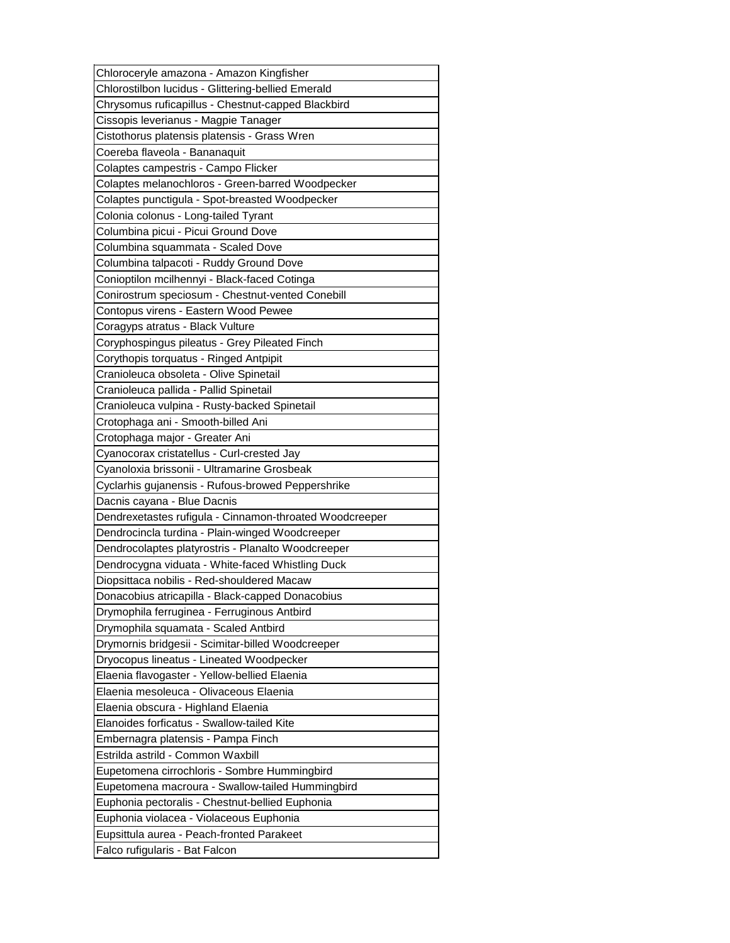| Chloroceryle amazona - Amazon Kingfisher                |
|---------------------------------------------------------|
| Chlorostilbon lucidus - Glittering-bellied Emerald      |
| Chrysomus ruficapillus - Chestnut-capped Blackbird      |
| Cissopis leverianus - Magpie Tanager                    |
| Cistothorus platensis platensis - Grass Wren            |
| Coereba flaveola - Bananaquit                           |
| Colaptes campestris - Campo Flicker                     |
| Colaptes melanochloros - Green-barred Woodpecker        |
| Colaptes punctigula - Spot-breasted Woodpecker          |
| Colonia colonus - Long-tailed Tyrant                    |
| Columbina picui - Picui Ground Dove                     |
| Columbina squammata - Scaled Dove                       |
| Columbina talpacoti - Ruddy Ground Dove                 |
| Conioptilon mcilhennyi - Black-faced Cotinga            |
| Conirostrum speciosum - Chestnut-vented Conebill        |
| Contopus virens - Eastern Wood Pewee                    |
| Coragyps atratus - Black Vulture                        |
| Coryphospingus pileatus - Grey Pileated Finch           |
| Corythopis torquatus - Ringed Antpipit                  |
| Cranioleuca obsoleta - Olive Spinetail                  |
| Cranioleuca pallida - Pallid Spinetail                  |
| Cranioleuca vulpina - Rusty-backed Spinetail            |
| Crotophaga ani - Smooth-billed Ani                      |
| Crotophaga major - Greater Ani                          |
| Cyanocorax cristatellus - Curl-crested Jay              |
| Cyanoloxia brissonii - Ultramarine Grosbeak             |
|                                                         |
|                                                         |
| Cyclarhis gujanensis - Rufous-browed Peppershrike       |
| Dacnis cayana - Blue Dacnis                             |
| Dendrexetastes rufigula - Cinnamon-throated Woodcreeper |
| Dendrocincla turdina - Plain-winged Woodcreeper         |
| Dendrocolaptes platyrostris - Planalto Woodcreeper      |
| Dendrocygna viduata - White-faced Whistling Duck        |
| Diopsittaca nobilis - Red-shouldered Macaw              |
| Donacobius atricapilla - Black-capped Donacobius        |
| Drymophila ferruginea - Ferruginous Antbird             |
| Drymophila squamata - Scaled Antbird                    |
| Drymornis bridgesii - Scimitar-billed Woodcreeper       |
| Dryocopus lineatus - Lineated Woodpecker                |
| Elaenia flavogaster - Yellow-bellied Elaenia            |
| Elaenia mesoleuca - Olivaceous Elaenia                  |
| Elaenia obscura - Highland Elaenia                      |
| Elanoides forficatus - Swallow-tailed Kite              |
| Embernagra platensis - Pampa Finch                      |
| Estrilda astrild - Common Waxbill                       |
| Eupetomena cirrochloris - Sombre Hummingbird            |
| Eupetomena macroura - Swallow-tailed Hummingbird        |
| Euphonia pectoralis - Chestnut-bellied Euphonia         |
| Euphonia violacea - Violaceous Euphonia                 |
| Eupsittula aurea - Peach-fronted Parakeet               |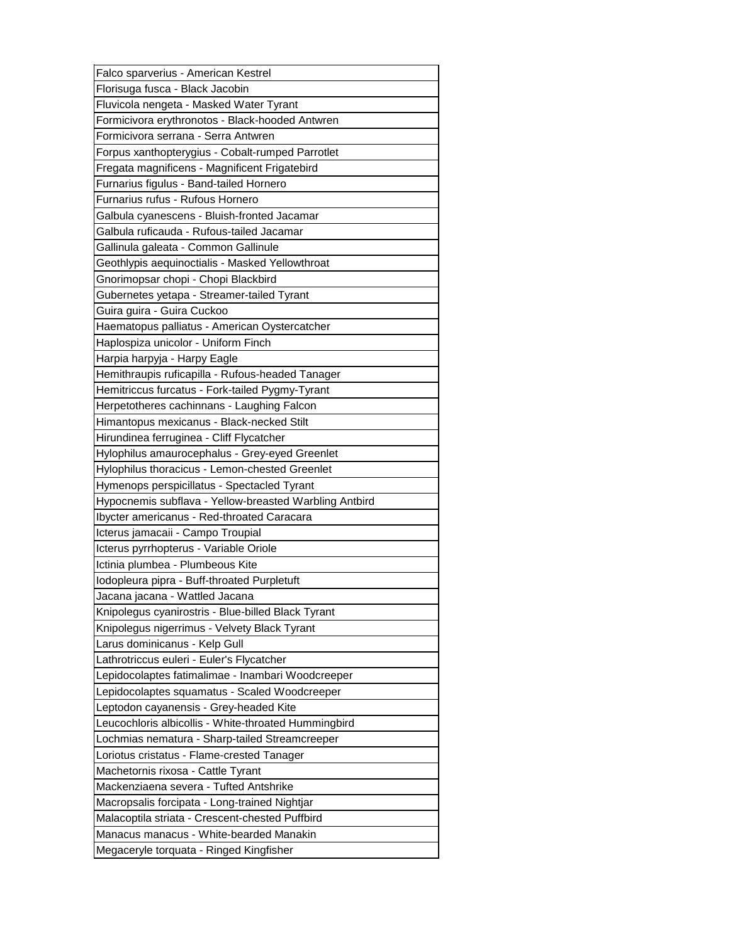| Falco sparverius - American Kestrel                    |
|--------------------------------------------------------|
| Florisuga fusca - Black Jacobin                        |
| Fluvicola nengeta - Masked Water Tyrant                |
| Formicivora erythronotos - Black-hooded Antwren        |
| Formicivora serrana - Serra Antwren                    |
| Forpus xanthopterygius - Cobalt-rumped Parrotlet       |
| Fregata magnificens - Magnificent Frigatebird          |
| Furnarius figulus - Band-tailed Hornero                |
| Furnarius rufus - Rufous Hornero                       |
| Galbula cyanescens - Bluish-fronted Jacamar            |
| Galbula ruficauda - Rufous-tailed Jacamar              |
| Gallinula galeata - Common Gallinule                   |
| Geothlypis aequinoctialis - Masked Yellowthroat        |
| Gnorimopsar chopi - Chopi Blackbird                    |
| Gubernetes yetapa - Streamer-tailed Tyrant             |
| Guira guira - Guira Cuckoo                             |
| Haematopus palliatus - American Oystercatcher          |
| Haplospiza unicolor - Uniform Finch                    |
| Harpia harpyja - Harpy Eagle                           |
| Hemithraupis ruficapilla - Rufous-headed Tanager       |
| Hemitriccus furcatus - Fork-tailed Pygmy-Tyrant        |
| Herpetotheres cachinnans - Laughing Falcon             |
| Himantopus mexicanus - Black-necked Stilt              |
| Hirundinea ferruginea - Cliff Flycatcher               |
| Hylophilus amaurocephalus - Grey-eyed Greenlet         |
| Hylophilus thoracicus - Lemon-chested Greenlet         |
| Hymenops perspicillatus - Spectacled Tyrant            |
| Hypocnemis subflava - Yellow-breasted Warbling Antbird |
|                                                        |
| Ibycter americanus - Red-throated Caracara             |
| Icterus jamacaii - Campo Troupial                      |
| Icterus pyrrhopterus - Variable Oriole                 |
| Ictinia plumbea - Plumbeous Kite                       |
| Iodopleura pipra - Buff-throated Purpletuft            |
| Jacana jacana - Wattled Jacana                         |
| Knipolegus cyanirostris - Blue-billed Black Tyrant     |
| Knipolegus nigerrimus - Velvety Black Tyrant           |
| Larus dominicanus - Kelp Gull                          |
| Lathrotriccus euleri - Euler's Flycatcher              |
| Lepidocolaptes fatimalimae - Inambari Woodcreeper      |
| Lepidocolaptes squamatus - Scaled Woodcreeper          |
| Leptodon cayanensis - Grey-headed Kite                 |
| Leucochloris albicollis - White-throated Hummingbird   |
| Lochmias nematura - Sharp-tailed Streamcreeper         |
| Loriotus cristatus - Flame-crested Tanager             |
| Machetornis rixosa - Cattle Tyrant                     |
| Mackenziaena severa - Tufted Antshrike                 |
| Macropsalis forcipata - Long-trained Nightjar          |
| Malacoptila striata - Crescent-chested Puffbird        |
| Manacus manacus - White-bearded Manakin                |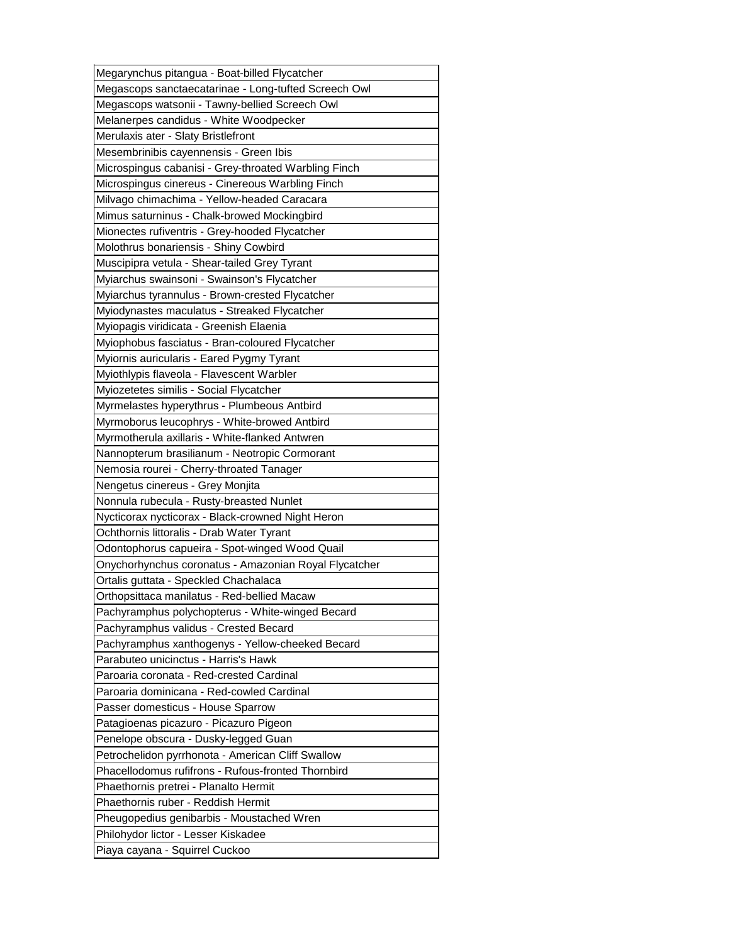| Megarynchus pitangua - Boat-billed Flycatcher                                                           |
|---------------------------------------------------------------------------------------------------------|
| Megascops sanctaecatarinae - Long-tufted Screech Owl                                                    |
| Megascops watsonii - Tawny-bellied Screech Owl                                                          |
| Melanerpes candidus - White Woodpecker                                                                  |
| Merulaxis ater - Slaty Bristlefront                                                                     |
| Mesembrinibis cayennensis - Green Ibis                                                                  |
| Microspingus cabanisi - Grey-throated Warbling Finch                                                    |
| Microspingus cinereus - Cinereous Warbling Finch                                                        |
| Milvago chimachima - Yellow-headed Caracara                                                             |
| Mimus saturninus - Chalk-browed Mockingbird                                                             |
| Mionectes rufiventris - Grey-hooded Flycatcher                                                          |
| Molothrus bonariensis - Shiny Cowbird                                                                   |
| Muscipipra vetula - Shear-tailed Grey Tyrant                                                            |
| Myiarchus swainsoni - Swainson's Flycatcher                                                             |
| Myiarchus tyrannulus - Brown-crested Flycatcher                                                         |
| Myiodynastes maculatus - Streaked Flycatcher                                                            |
| Myiopagis viridicata - Greenish Elaenia                                                                 |
| Myiophobus fasciatus - Bran-coloured Flycatcher                                                         |
| Myiornis auricularis - Eared Pygmy Tyrant                                                               |
| Myiothlypis flaveola - Flavescent Warbler                                                               |
| Myiozetetes similis - Social Flycatcher                                                                 |
| Myrmelastes hyperythrus - Plumbeous Antbird                                                             |
| Myrmoborus leucophrys - White-browed Antbird                                                            |
| Myrmotherula axillaris - White-flanked Antwren                                                          |
| Nannopterum brasilianum - Neotropic Cormorant                                                           |
|                                                                                                         |
| Nemosia rourei - Cherry-throated Tanager                                                                |
|                                                                                                         |
| Nengetus cinereus - Grey Monjita                                                                        |
| Nonnula rubecula - Rusty-breasted Nunlet                                                                |
| Nycticorax nycticorax - Black-crowned Night Heron<br>Ochthornis littoralis - Drab Water Tyrant          |
|                                                                                                         |
| Odontophorus capueira - Spot-winged Wood Quail                                                          |
| Onychorhynchus coronatus - Amazonian Royal Flycatcher                                                   |
| Ortalis guttata - Speckled Chachalaca<br>IOrthopsittaca manilatus - Red-bellied Macaw                   |
|                                                                                                         |
| Pachyramphus polychopterus - White-winged Becard                                                        |
| Pachyramphus validus - Crested Becard                                                                   |
| Pachyramphus xanthogenys - Yellow-cheeked Becard<br>Parabuteo unicinctus - Harris's Hawk                |
| Paroaria coronata - Red-crested Cardinal                                                                |
|                                                                                                         |
| Paroaria dominicana - Red-cowled Cardinal                                                               |
| Passer domesticus - House Sparrow                                                                       |
| Patagioenas picazuro - Picazuro Pigeon                                                                  |
| Penelope obscura - Dusky-legged Guan                                                                    |
| Petrochelidon pyrrhonota - American Cliff Swallow<br>Phacellodomus rufifrons - Rufous-fronted Thornbird |
|                                                                                                         |
| Phaethornis pretrei - Planalto Hermit                                                                   |
| Phaethornis ruber - Reddish Hermit                                                                      |
| Pheugopedius genibarbis - Moustached Wren                                                               |
| Philohydor lictor - Lesser Kiskadee<br>Piaya cayana - Squirrel Cuckoo                                   |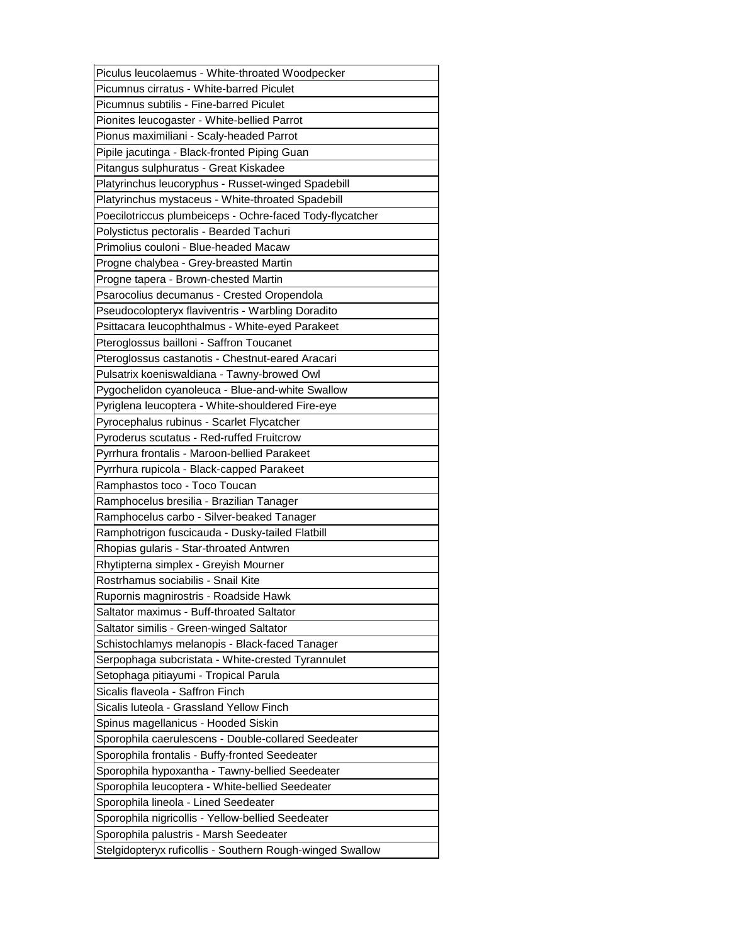| Piculus leucolaemus - White-throated Woodpecker                                                     |
|-----------------------------------------------------------------------------------------------------|
| Picumnus cirratus - White-barred Piculet                                                            |
| Picumnus subtilis - Fine-barred Piculet                                                             |
| Pionites leucogaster - White-bellied Parrot                                                         |
| Pionus maximiliani - Scaly-headed Parrot                                                            |
| Pipile jacutinga - Black-fronted Piping Guan                                                        |
| Pitangus sulphuratus - Great Kiskadee                                                               |
| Platyrinchus leucoryphus - Russet-winged Spadebill                                                  |
| Platyrinchus mystaceus - White-throated Spadebill                                                   |
| Poecilotriccus plumbeiceps - Ochre-faced Tody-flycatcher                                            |
| Polystictus pectoralis - Bearded Tachuri                                                            |
| Primolius couloni - Blue-headed Macaw                                                               |
| Progne chalybea - Grey-breasted Martin                                                              |
| Progne tapera - Brown-chested Martin                                                                |
| Psarocolius decumanus - Crested Oropendola                                                          |
| Pseudocolopteryx flaviventris - Warbling Doradito                                                   |
| Psittacara leucophthalmus - White-eyed Parakeet                                                     |
| Pteroglossus bailloni - Saffron Toucanet                                                            |
| Pteroglossus castanotis - Chestnut-eared Aracari                                                    |
| Pulsatrix koeniswaldiana - Tawny-browed Owl                                                         |
| Pygochelidon cyanoleuca - Blue-and-white Swallow                                                    |
| Pyriglena leucoptera - White-shouldered Fire-eye                                                    |
| Pyrocephalus rubinus - Scarlet Flycatcher                                                           |
| Pyroderus scutatus - Red-ruffed Fruitcrow                                                           |
| Pyrrhura frontalis - Maroon-bellied Parakeet                                                        |
| Pyrrhura rupicola - Black-capped Parakeet                                                           |
| Ramphastos toco - Toco Toucan                                                                       |
| Ramphocelus bresilia - Brazilian Tanager                                                            |
| Ramphocelus carbo - Silver-beaked Tanager                                                           |
| Ramphotrigon fuscicauda - Dusky-tailed Flatbill                                                     |
| Rhopias gularis - Star-throated Antwren                                                             |
| Rhytipterna simplex - Greyish Mourner                                                               |
| Rostrhamus sociabilis - Snail Kite                                                                  |
| Rupornis magnirostris - Roadside Hawk                                                               |
| Saltator maximus - Buff-throated Saltator                                                           |
| Saltator similis - Green-winged Saltator                                                            |
| Schistochlamys melanopis - Black-faced Tanager                                                      |
| Serpophaga subcristata - White-crested Tyrannulet                                                   |
| Setophaga pitiayumi - Tropical Parula                                                               |
| Sicalis flaveola - Saffron Finch                                                                    |
| Sicalis luteola - Grassland Yellow Finch                                                            |
| Spinus magellanicus - Hooded Siskin                                                                 |
| Sporophila caerulescens - Double-collared Seedeater                                                 |
| Sporophila frontalis - Buffy-fronted Seedeater                                                      |
|                                                                                                     |
| Sporophila hypoxantha - Tawny-bellied Seedeater                                                     |
| Sporophila leucoptera - White-bellied Seedeater                                                     |
| Sporophila lineola - Lined Seedeater                                                                |
|                                                                                                     |
| Sporophila nigricollis - Yellow-bellied Seedeater                                                   |
| Sporophila palustris - Marsh Seedeater<br>Stelgidopteryx ruficollis - Southern Rough-winged Swallow |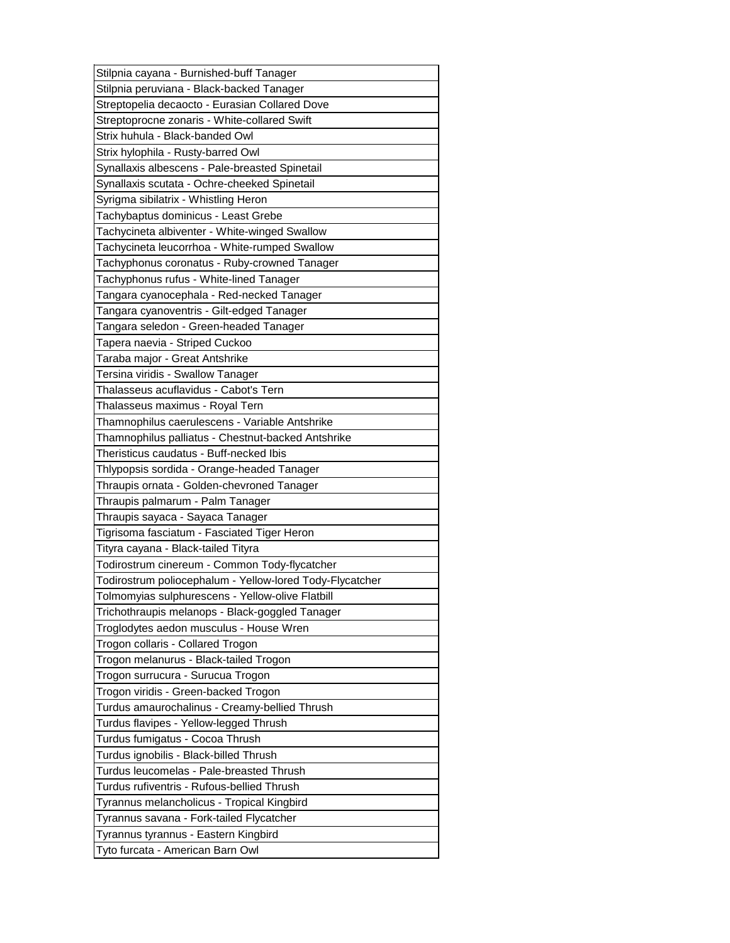| Stilpnia cayana - Burnished-buff Tanager                 |
|----------------------------------------------------------|
| Stilpnia peruviana - Black-backed Tanager                |
| Streptopelia decaocto - Eurasian Collared Dove           |
| Streptoprocne zonaris - White-collared Swift             |
| Strix huhula - Black-banded Owl                          |
| Strix hylophila - Rusty-barred Owl                       |
| Synallaxis albescens - Pale-breasted Spinetail           |
| Synallaxis scutata - Ochre-cheeked Spinetail             |
| Syrigma sibilatrix - Whistling Heron                     |
| Tachybaptus dominicus - Least Grebe                      |
| Tachycineta albiventer - White-winged Swallow            |
| Tachycineta leucorrhoa - White-rumped Swallow            |
| Tachyphonus coronatus - Ruby-crowned Tanager             |
| Tachyphonus rufus - White-lined Tanager                  |
| Tangara cyanocephala - Red-necked Tanager                |
| Tangara cyanoventris - Gilt-edged Tanager                |
| Tangara seledon - Green-headed Tanager                   |
| Tapera naevia - Striped Cuckoo                           |
| Taraba major - Great Antshrike                           |
| Tersina viridis - Swallow Tanager                        |
| Thalasseus acuflavidus - Cabot's Tern                    |
| Thalasseus maximus - Royal Tern                          |
| Thamnophilus caerulescens - Variable Antshrike           |
| Thamnophilus palliatus - Chestnut-backed Antshrike       |
| Theristicus caudatus - Buff-necked Ibis                  |
| Thlypopsis sordida - Orange-headed Tanager               |
| Thraupis ornata - Golden-chevroned Tanager               |
|                                                          |
|                                                          |
| Thraupis palmarum - Palm Tanager                         |
| Thraupis sayaca - Sayaca Tanager                         |
| Tigrisoma fasciatum - Fasciated Tiger Heron              |
| Tityra cayana - Black-tailed Tityra                      |
| Todirostrum cinereum - Common Tody-flycatcher            |
| Todirostrum poliocephalum - Yellow-lored Tody-Flycatcher |
| Tolmomyias sulphurescens - Yellow-olive Flatbill         |
| Trichothraupis melanops - Black-goggled Tanager          |
| Troglodytes aedon musculus - House Wren                  |
| Trogon collaris - Collared Trogon                        |
| Trogon melanurus - Black-tailed Trogon                   |
| Trogon surrucura - Surucua Trogon                        |
| Trogon viridis - Green-backed Trogon                     |
| Turdus amaurochalinus - Creamy-bellied Thrush            |
| Turdus flavipes - Yellow-legged Thrush                   |
| Turdus fumigatus - Cocoa Thrush                          |
| Turdus ignobilis - Black-billed Thrush                   |
| Turdus leucomelas - Pale-breasted Thrush                 |
| Turdus rufiventris - Rufous-bellied Thrush               |
| Tyrannus melancholicus - Tropical Kingbird               |
| Tyrannus savana - Fork-tailed Flycatcher                 |
| Tyrannus tyrannus - Eastern Kingbird                     |